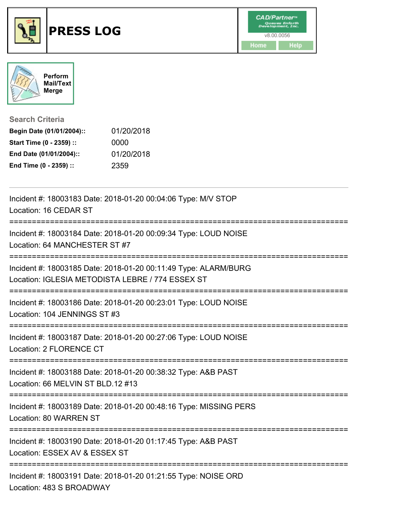



**Search Criteria**

| Begin Date (01/01/2004):: | 01/20/2018 |
|---------------------------|------------|
| Start Time (0 - 2359) ::  | 0000       |
| End Date (01/01/2004)::   | 01/20/2018 |
| End Time (0 - 2359) ::    | 2359       |

| Incident #: 18003183 Date: 2018-01-20 00:04:06 Type: M/V STOP<br>Location: 16 CEDAR ST                              |
|---------------------------------------------------------------------------------------------------------------------|
| Incident #: 18003184 Date: 2018-01-20 00:09:34 Type: LOUD NOISE<br>Location: 64 MANCHESTER ST #7                    |
| Incident #: 18003185 Date: 2018-01-20 00:11:49 Type: ALARM/BURG<br>Location: IGLESIA METODISTA LEBRE / 774 ESSEX ST |
| Incident #: 18003186 Date: 2018-01-20 00:23:01 Type: LOUD NOISE<br>Location: 104 JENNINGS ST #3                     |
| Incident #: 18003187 Date: 2018-01-20 00:27:06 Type: LOUD NOISE<br>Location: 2 FLORENCE CT                          |
| Incident #: 18003188 Date: 2018-01-20 00:38:32 Type: A&B PAST<br>Location: 66 MELVIN ST BLD.12 #13                  |
| Incident #: 18003189 Date: 2018-01-20 00:48:16 Type: MISSING PERS<br>Location: 80 WARREN ST                         |
| Incident #: 18003190 Date: 2018-01-20 01:17:45 Type: A&B PAST<br>Location: ESSEX AV & ESSEX ST                      |
| Incident #: 18003191 Date: 2018-01-20 01:21:55 Type: NOISE ORD<br>Location: 483 S BROADWAY                          |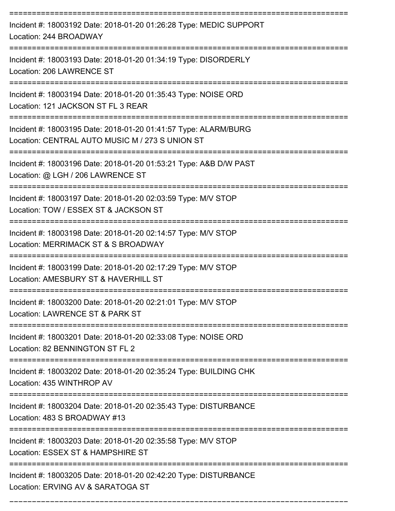| Incident #: 18003192 Date: 2018-01-20 01:26:28 Type: MEDIC SUPPORT<br>Location: 244 BROADWAY                       |
|--------------------------------------------------------------------------------------------------------------------|
| Incident #: 18003193 Date: 2018-01-20 01:34:19 Type: DISORDERLY<br>Location: 206 LAWRENCE ST                       |
| Incident #: 18003194 Date: 2018-01-20 01:35:43 Type: NOISE ORD<br>Location: 121 JACKSON ST FL 3 REAR               |
| Incident #: 18003195 Date: 2018-01-20 01:41:57 Type: ALARM/BURG<br>Location: CENTRAL AUTO MUSIC M / 273 S UNION ST |
| Incident #: 18003196 Date: 2018-01-20 01:53:21 Type: A&B D/W PAST<br>Location: @ LGH / 206 LAWRENCE ST             |
| Incident #: 18003197 Date: 2018-01-20 02:03:59 Type: M/V STOP<br>Location: TOW / ESSEX ST & JACKSON ST             |
| Incident #: 18003198 Date: 2018-01-20 02:14:57 Type: M/V STOP<br>Location: MERRIMACK ST & S BROADWAY               |
| Incident #: 18003199 Date: 2018-01-20 02:17:29 Type: M/V STOP<br>Location: AMESBURY ST & HAVERHILL ST              |
| Incident #: 18003200 Date: 2018-01-20 02:21:01 Type: M/V STOP<br>Location: LAWRENCE ST & PARK ST                   |
| Incident #: 18003201 Date: 2018-01-20 02:33:08 Type: NOISE ORD<br>Location: 82 BENNINGTON ST FL 2                  |
| Incident #: 18003202 Date: 2018-01-20 02:35:24 Type: BUILDING CHK<br>Location: 435 WINTHROP AV                     |
| Incident #: 18003204 Date: 2018-01-20 02:35:43 Type: DISTURBANCE<br>Location: 483 S BROADWAY #13                   |
| Incident #: 18003203 Date: 2018-01-20 02:35:58 Type: M/V STOP<br>Location: ESSEX ST & HAMPSHIRE ST                 |
| Incident #: 18003205 Date: 2018-01-20 02:42:20 Type: DISTURBANCE<br>Location: ERVING AV & SARATOGA ST              |

===========================================================================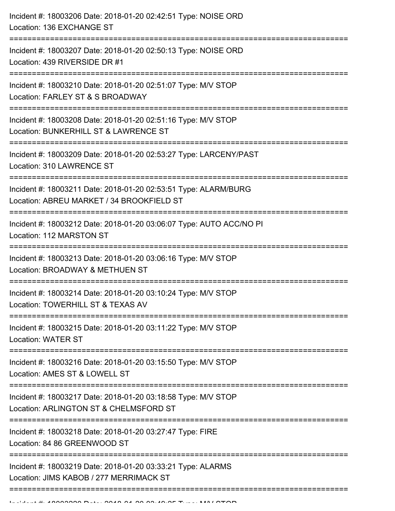| Incident #: 18003206 Date: 2018-01-20 02:42:51 Type: NOISE ORD<br>Location: 136 EXCHANGE ST                                                         |
|-----------------------------------------------------------------------------------------------------------------------------------------------------|
| Incident #: 18003207 Date: 2018-01-20 02:50:13 Type: NOISE ORD<br>Location: 439 RIVERSIDE DR #1                                                     |
| Incident #: 18003210 Date: 2018-01-20 02:51:07 Type: M/V STOP<br>Location: FARLEY ST & S BROADWAY<br>:=========================<br>--------------   |
| Incident #: 18003208 Date: 2018-01-20 02:51:16 Type: M/V STOP<br>Location: BUNKERHILL ST & LAWRENCE ST<br>===================================       |
| Incident #: 18003209 Date: 2018-01-20 02:53:27 Type: LARCENY/PAST<br>Location: 310 LAWRENCE ST                                                      |
| Incident #: 18003211 Date: 2018-01-20 02:53:51 Type: ALARM/BURG<br>Location: ABREU MARKET / 34 BROOKFIELD ST<br>=================================== |
| Incident #: 18003212 Date: 2018-01-20 03:06:07 Type: AUTO ACC/NO PI<br>Location: 112 MARSTON ST                                                     |
| Incident #: 18003213 Date: 2018-01-20 03:06:16 Type: M/V STOP<br>Location: BROADWAY & METHUEN ST                                                    |
| Incident #: 18003214 Date: 2018-01-20 03:10:24 Type: M/V STOP<br>Location: TOWERHILL ST & TEXAS AV                                                  |
| Incident #: 18003215 Date: 2018-01-20 03:11:22 Type: M/V STOP<br><b>Location: WATER ST</b>                                                          |
| Incident #: 18003216 Date: 2018-01-20 03:15:50 Type: M/V STOP<br>Location: AMES ST & LOWELL ST                                                      |
| Incident #: 18003217 Date: 2018-01-20 03:18:58 Type: M/V STOP<br>Location: ARLINGTON ST & CHELMSFORD ST                                             |
| Incident #: 18003218 Date: 2018-01-20 03:27:47 Type: FIRE<br>Location: 84 86 GREENWOOD ST                                                           |
| Incident #: 18003219 Date: 2018-01-20 03:33:21 Type: ALARMS<br>Location: JIMS KABOB / 277 MERRIMACK ST                                              |
|                                                                                                                                                     |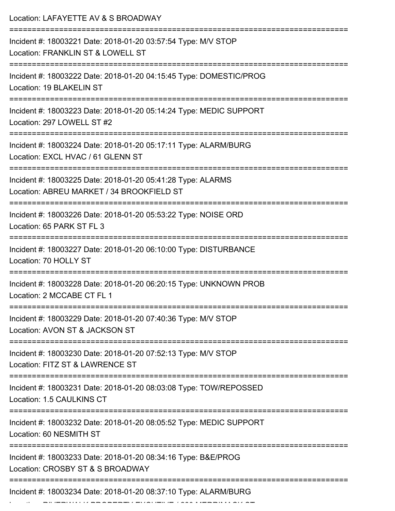| Location: LAFAYETTE AV & S BROADWAY                                                                              |
|------------------------------------------------------------------------------------------------------------------|
| Incident #: 18003221 Date: 2018-01-20 03:57:54 Type: M/V STOP<br>Location: FRANKLIN ST & LOWELL ST               |
| :============:<br>Incident #: 18003222 Date: 2018-01-20 04:15:45 Type: DOMESTIC/PROG<br>Location: 19 BLAKELIN ST |
| Incident #: 18003223 Date: 2018-01-20 05:14:24 Type: MEDIC SUPPORT<br>Location: 297 LOWELL ST #2                 |
| Incident #: 18003224 Date: 2018-01-20 05:17:11 Type: ALARM/BURG<br>Location: EXCL HVAC / 61 GLENN ST             |
| Incident #: 18003225 Date: 2018-01-20 05:41:28 Type: ALARMS<br>Location: ABREU MARKET / 34 BROOKFIELD ST         |
| Incident #: 18003226 Date: 2018-01-20 05:53:22 Type: NOISE ORD<br>Location: 65 PARK ST FL 3                      |
| Incident #: 18003227 Date: 2018-01-20 06:10:00 Type: DISTURBANCE<br>Location: 70 HOLLY ST                        |
| Incident #: 18003228 Date: 2018-01-20 06:20:15 Type: UNKNOWN PROB<br>Location: 2 MCCABE CT FL 1                  |
| Incident #: 18003229 Date: 2018-01-20 07:40:36 Type: M/V STOP<br>Location: AVON ST & JACKSON ST                  |
| Incident #: 18003230 Date: 2018-01-20 07:52:13 Type: M/V STOP<br>Location: FITZ ST & LAWRENCE ST                 |
| Incident #: 18003231 Date: 2018-01-20 08:03:08 Type: TOW/REPOSSED<br>Location: 1.5 CAULKINS CT                   |
| Incident #: 18003232 Date: 2018-01-20 08:05:52 Type: MEDIC SUPPORT<br>Location: 60 NESMITH ST                    |
| Incident #: 18003233 Date: 2018-01-20 08:34:16 Type: B&E/PROG<br>Location: CROSBY ST & S BROADWAY                |
| Incident #: 18003234 Date: 2018-01-20 08:37:10 Type: ALARM/BURG                                                  |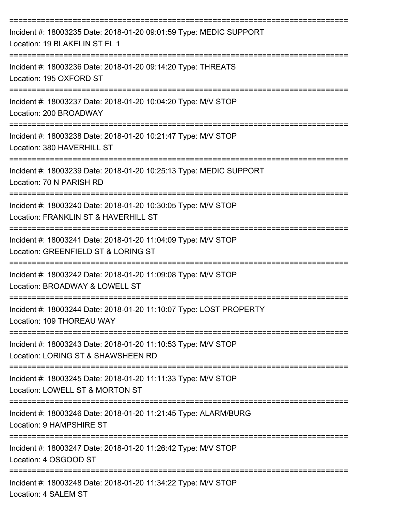| Incident #: 18003235 Date: 2018-01-20 09:01:59 Type: MEDIC SUPPORT<br>Location: 19 BLAKELIN ST FL 1   |
|-------------------------------------------------------------------------------------------------------|
| Incident #: 18003236 Date: 2018-01-20 09:14:20 Type: THREATS<br>Location: 195 OXFORD ST               |
| Incident #: 18003237 Date: 2018-01-20 10:04:20 Type: M/V STOP<br>Location: 200 BROADWAY               |
| Incident #: 18003238 Date: 2018-01-20 10:21:47 Type: M/V STOP<br>Location: 380 HAVERHILL ST           |
| Incident #: 18003239 Date: 2018-01-20 10:25:13 Type: MEDIC SUPPORT<br>Location: 70 N PARISH RD        |
| Incident #: 18003240 Date: 2018-01-20 10:30:05 Type: M/V STOP<br>Location: FRANKLIN ST & HAVERHILL ST |
| Incident #: 18003241 Date: 2018-01-20 11:04:09 Type: M/V STOP<br>Location: GREENFIELD ST & LORING ST  |
| Incident #: 18003242 Date: 2018-01-20 11:09:08 Type: M/V STOP<br>Location: BROADWAY & LOWELL ST       |
| Incident #: 18003244 Date: 2018-01-20 11:10:07 Type: LOST PROPERTY<br>Location: 109 THOREAU WAY       |
| Incident #: 18003243 Date: 2018-01-20 11:10:53 Type: M/V STOP<br>Location: LORING ST & SHAWSHEEN RD   |
| Incident #: 18003245 Date: 2018-01-20 11:11:33 Type: M/V STOP<br>Location: LOWELL ST & MORTON ST      |
| Incident #: 18003246 Date: 2018-01-20 11:21:45 Type: ALARM/BURG<br>Location: 9 HAMPSHIRE ST           |
| Incident #: 18003247 Date: 2018-01-20 11:26:42 Type: M/V STOP<br>Location: 4 OSGOOD ST                |
| Incident #: 18003248 Date: 2018-01-20 11:34:22 Type: M/V STOP<br>Location: 4 SALEM ST                 |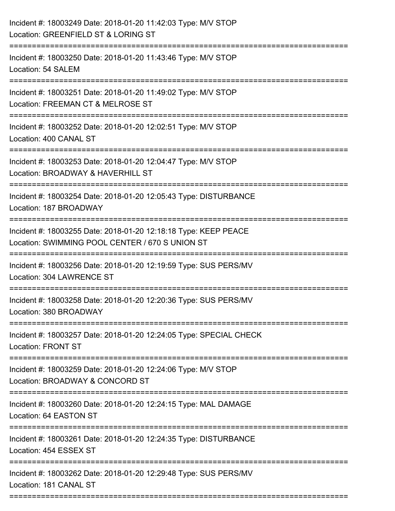| Incident #: 18003249 Date: 2018-01-20 11:42:03 Type: M/V STOP<br>Location: GREENFIELD ST & LORING ST                         |
|------------------------------------------------------------------------------------------------------------------------------|
| Incident #: 18003250 Date: 2018-01-20 11:43:46 Type: M/V STOP<br>Location: 54 SALEM                                          |
| Incident #: 18003251 Date: 2018-01-20 11:49:02 Type: M/V STOP<br>Location: FREEMAN CT & MELROSE ST<br>;====================  |
| Incident #: 18003252 Date: 2018-01-20 12:02:51 Type: M/V STOP<br>Location: 400 CANAL ST                                      |
| Incident #: 18003253 Date: 2018-01-20 12:04:47 Type: M/V STOP<br>Location: BROADWAY & HAVERHILL ST<br>;===================== |
| Incident #: 18003254 Date: 2018-01-20 12:05:43 Type: DISTURBANCE<br>Location: 187 BROADWAY                                   |
| Incident #: 18003255 Date: 2018-01-20 12:18:18 Type: KEEP PEACE<br>Location: SWIMMING POOL CENTER / 670 S UNION ST           |
| Incident #: 18003256 Date: 2018-01-20 12:19:59 Type: SUS PERS/MV<br>Location: 304 LAWRENCE ST                                |
| Incident #: 18003258 Date: 2018-01-20 12:20:36 Type: SUS PERS/MV<br>Location: 380 BROADWAY                                   |
| Incident #: 18003257 Date: 2018-01-20 12:24:05 Type: SPECIAL CHECK<br>Location: FRONT ST                                     |
| Incident #: 18003259 Date: 2018-01-20 12:24:06 Type: M/V STOP<br>Location: BROADWAY & CONCORD ST                             |
| Incident #: 18003260 Date: 2018-01-20 12:24:15 Type: MAL DAMAGE<br>Location: 64 EASTON ST                                    |
| Incident #: 18003261 Date: 2018-01-20 12:24:35 Type: DISTURBANCE<br>Location: 454 ESSEX ST                                   |
| Incident #: 18003262 Date: 2018-01-20 12:29:48 Type: SUS PERS/MV<br>Location: 181 CANAL ST                                   |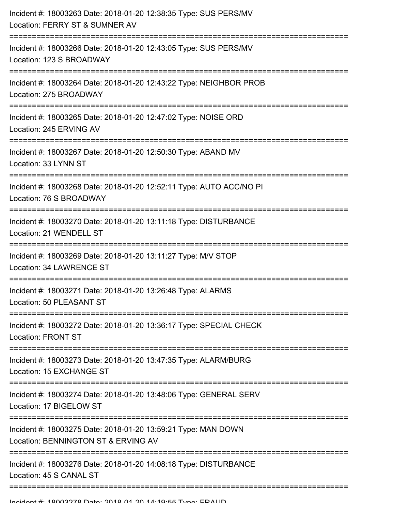| Incident #: 18003263 Date: 2018-01-20 12:38:35 Type: SUS PERS/MV<br>Location: FERRY ST & SUMNER AV                              |
|---------------------------------------------------------------------------------------------------------------------------------|
| Incident #: 18003266 Date: 2018-01-20 12:43:05 Type: SUS PERS/MV<br>Location: 123 S BROADWAY                                    |
| Incident #: 18003264 Date: 2018-01-20 12:43:22 Type: NEIGHBOR PROB<br>Location: 275 BROADWAY                                    |
| Incident #: 18003265 Date: 2018-01-20 12:47:02 Type: NOISE ORD<br>Location: 245 ERVING AV<br>;================================= |
| Incident #: 18003267 Date: 2018-01-20 12:50:30 Type: ABAND MV<br>Location: 33 LYNN ST                                           |
| Incident #: 18003268 Date: 2018-01-20 12:52:11 Type: AUTO ACC/NO PI<br>Location: 76 S BROADWAY                                  |
| Incident #: 18003270 Date: 2018-01-20 13:11:18 Type: DISTURBANCE<br>Location: 21 WENDELL ST                                     |
| Incident #: 18003269 Date: 2018-01-20 13:11:27 Type: M/V STOP<br>Location: 34 LAWRENCE ST                                       |
| Incident #: 18003271 Date: 2018-01-20 13:26:48 Type: ALARMS<br>Location: 50 PLEASANT ST                                         |
| Incident #: 18003272 Date: 2018-01-20 13:36:17 Type: SPECIAL CHECK<br>Location: FRONT ST                                        |
| Incident #: 18003273 Date: 2018-01-20 13:47:35 Type: ALARM/BURG<br>Location: 15 EXCHANGE ST                                     |
| Incident #: 18003274 Date: 2018-01-20 13:48:06 Type: GENERAL SERV<br>Location: 17 BIGELOW ST                                    |
| Incident #: 18003275 Date: 2018-01-20 13:59:21 Type: MAN DOWN<br>Location: BENNINGTON ST & ERVING AV                            |
| Incident #: 18003276 Date: 2018-01-20 14:08:18 Type: DISTURBANCE<br>Location: 45 S CANAL ST                                     |
|                                                                                                                                 |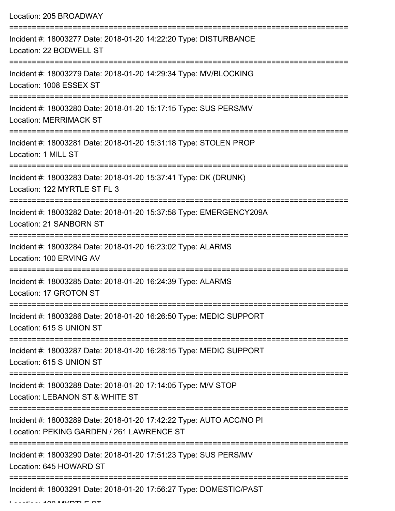Location: 205 BROADWAY =========================================================================== Incident #: 18003277 Date: 2018-01-20 14:22:20 Type: DISTURBANCE Location: 22 BODWELL ST =========================================================================== Incident #: 18003279 Date: 2018-01-20 14:29:34 Type: MV/BLOCKING Location: 1008 ESSEX ST =========================================================================== Incident #: 18003280 Date: 2018-01-20 15:17:15 Type: SUS PERS/MV Location: MERRIMACK ST =========================================================================== Incident #: 18003281 Date: 2018-01-20 15:31:18 Type: STOLEN PROP Location: 1 MILL ST =========================================================================== Incident #: 18003283 Date: 2018-01-20 15:37:41 Type: DK (DRUNK) Location: 122 MYRTLE ST FL 3 =========================================================================== Incident #: 18003282 Date: 2018-01-20 15:37:58 Type: EMERGENCY209A Location: 21 SANBORN ST =========================================================================== Incident #: 18003284 Date: 2018-01-20 16:23:02 Type: ALARMS Location: 100 ERVING AV =========================================================================== Incident #: 18003285 Date: 2018-01-20 16:24:39 Type: ALARMS Location: 17 GROTON ST =========================================================================== Incident #: 18003286 Date: 2018-01-20 16:26:50 Type: MEDIC SUPPORT Location: 615 S UNION ST =========================================================================== Incident #: 18003287 Date: 2018-01-20 16:28:15 Type: MEDIC SUPPORT Location: 615 S UNION ST =========================================================================== Incident #: 18003288 Date: 2018-01-20 17:14:05 Type: M/V STOP Location: LEBANON ST & WHITE ST =========================================================================== Incident #: 18003289 Date: 2018-01-20 17:42:22 Type: AUTO ACC/NO PI Location: PEKING GARDEN / 261 LAWRENCE ST =========================================================================== Incident #: 18003290 Date: 2018-01-20 17:51:23 Type: SUS PERS/MV Location: 645 HOWARD ST =========================================================================== Incident #: 18003291 Date: 2018-01-20 17:56:27 Type: DOMESTIC/PAST

 $L = L$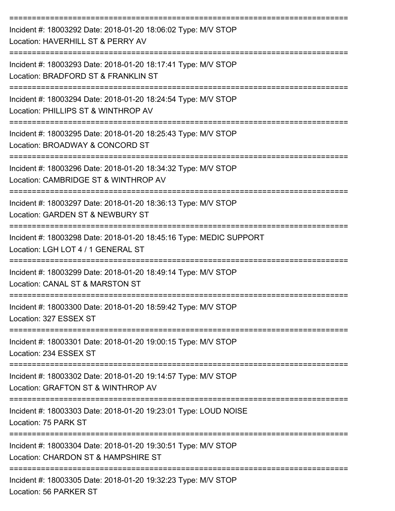| Incident #: 18003292 Date: 2018-01-20 18:06:02 Type: M/V STOP<br>Location: HAVERHILL ST & PERRY AV                        |
|---------------------------------------------------------------------------------------------------------------------------|
| Incident #: 18003293 Date: 2018-01-20 18:17:41 Type: M/V STOP<br>Location: BRADFORD ST & FRANKLIN ST                      |
| Incident #: 18003294 Date: 2018-01-20 18:24:54 Type: M/V STOP<br>Location: PHILLIPS ST & WINTHROP AV                      |
| Incident #: 18003295 Date: 2018-01-20 18:25:43 Type: M/V STOP<br>Location: BROADWAY & CONCORD ST                          |
| Incident #: 18003296 Date: 2018-01-20 18:34:32 Type: M/V STOP<br>Location: CAMBRIDGE ST & WINTHROP AV                     |
| Incident #: 18003297 Date: 2018-01-20 18:36:13 Type: M/V STOP<br>Location: GARDEN ST & NEWBURY ST                         |
| Incident #: 18003298 Date: 2018-01-20 18:45:16 Type: MEDIC SUPPORT<br>Location: LGH LOT 4 / 1 GENERAL ST                  |
| Incident #: 18003299 Date: 2018-01-20 18:49:14 Type: M/V STOP<br>Location: CANAL ST & MARSTON ST                          |
| Incident #: 18003300 Date: 2018-01-20 18:59:42 Type: M/V STOP<br>Location: 327 ESSEX ST                                   |
| ==============================<br>Incident #: 18003301 Date: 2018-01-20 19:00:15 Type: M/V STOP<br>Location: 234 ESSEX ST |
| Incident #: 18003302 Date: 2018-01-20 19:14:57 Type: M/V STOP<br>Location: GRAFTON ST & WINTHROP AV                       |
| Incident #: 18003303 Date: 2018-01-20 19:23:01 Type: LOUD NOISE<br>Location: 75 PARK ST                                   |
| Incident #: 18003304 Date: 2018-01-20 19:30:51 Type: M/V STOP<br>Location: CHARDON ST & HAMPSHIRE ST                      |
| ------------------------------<br>Incident #: 18003305 Date: 2018-01-20 19:32:23 Type: M/V STOP<br>Location: 56 PARKER ST |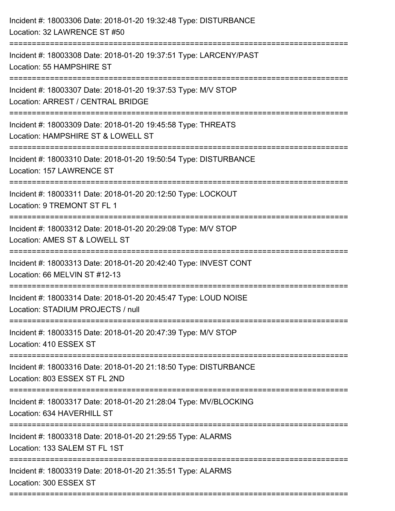| Incident #: 18003306 Date: 2018-01-20 19:32:48 Type: DISTURBANCE<br>Location: 32 LAWRENCE ST #50     |
|------------------------------------------------------------------------------------------------------|
| Incident #: 18003308 Date: 2018-01-20 19:37:51 Type: LARCENY/PAST<br>Location: 55 HAMPSHIRE ST       |
| Incident #: 18003307 Date: 2018-01-20 19:37:53 Type: M/V STOP<br>Location: ARREST / CENTRAL BRIDGE   |
| Incident #: 18003309 Date: 2018-01-20 19:45:58 Type: THREATS<br>Location: HAMPSHIRE ST & LOWELL ST   |
| Incident #: 18003310 Date: 2018-01-20 19:50:54 Type: DISTURBANCE<br>Location: 157 LAWRENCE ST        |
| Incident #: 18003311 Date: 2018-01-20 20:12:50 Type: LOCKOUT<br>Location: 9 TREMONT ST FL 1          |
| Incident #: 18003312 Date: 2018-01-20 20:29:08 Type: M/V STOP<br>Location: AMES ST & LOWELL ST       |
| Incident #: 18003313 Date: 2018-01-20 20:42:40 Type: INVEST CONT<br>Location: 66 MELVIN ST #12-13    |
| Incident #: 18003314 Date: 2018-01-20 20:45:47 Type: LOUD NOISE<br>Location: STADIUM PROJECTS / null |
| Incident #: 18003315 Date: 2018-01-20 20:47:39 Type: M/V STOP<br>Location: 410 ESSEX ST              |
| Incident #: 18003316 Date: 2018-01-20 21:18:50 Type: DISTURBANCE<br>Location: 803 ESSEX ST FL 2ND    |
| Incident #: 18003317 Date: 2018-01-20 21:28:04 Type: MV/BLOCKING<br>Location: 634 HAVERHILL ST       |
| Incident #: 18003318 Date: 2018-01-20 21:29:55 Type: ALARMS<br>Location: 133 SALEM ST FL 1ST         |
| Incident #: 18003319 Date: 2018-01-20 21:35:51 Type: ALARMS<br>Location: 300 ESSEX ST                |
|                                                                                                      |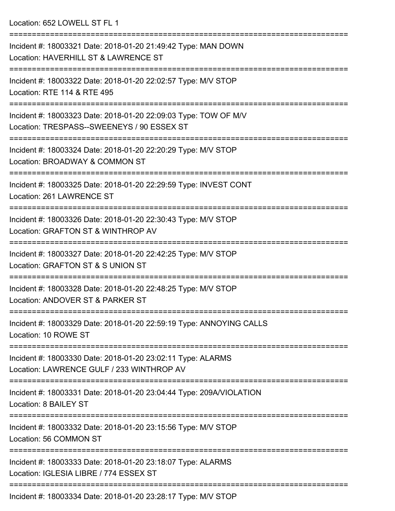Location: 652 LOWELL ST FL 1

| Incident #: 18003321 Date: 2018-01-20 21:49:42 Type: MAN DOWN<br>Location: HAVERHILL ST & LAWRENCE ST         |
|---------------------------------------------------------------------------------------------------------------|
| Incident #: 18003322 Date: 2018-01-20 22:02:57 Type: M/V STOP<br>Location: RTE 114 & RTE 495                  |
| Incident #: 18003323 Date: 2018-01-20 22:09:03 Type: TOW OF M/V<br>Location: TRESPASS--SWEENEYS / 90 ESSEX ST |
| Incident #: 18003324 Date: 2018-01-20 22:20:29 Type: M/V STOP<br>Location: BROADWAY & COMMON ST               |
| Incident #: 18003325 Date: 2018-01-20 22:29:59 Type: INVEST CONT<br>Location: 261 LAWRENCE ST                 |
| Incident #: 18003326 Date: 2018-01-20 22:30:43 Type: M/V STOP<br>Location: GRAFTON ST & WINTHROP AV           |
| Incident #: 18003327 Date: 2018-01-20 22:42:25 Type: M/V STOP<br>Location: GRAFTON ST & S UNION ST            |
| Incident #: 18003328 Date: 2018-01-20 22:48:25 Type: M/V STOP<br>Location: ANDOVER ST & PARKER ST             |
| Incident #: 18003329 Date: 2018-01-20 22:59:19 Type: ANNOYING CALLS<br>Location: 10 ROWE ST                   |
| Incident #: 18003330 Date: 2018-01-20 23:02:11 Type: ALARMS<br>Location: LAWRENCE GULF / 233 WINTHROP AV      |
| Incident #: 18003331 Date: 2018-01-20 23:04:44 Type: 209A/VIOLATION<br>Location: 8 BAILEY ST                  |
| Incident #: 18003332 Date: 2018-01-20 23:15:56 Type: M/V STOP<br>Location: 56 COMMON ST                       |
| Incident #: 18003333 Date: 2018-01-20 23:18:07 Type: ALARMS<br>Location: IGLESIA LIBRE / 774 ESSEX ST         |
| Incident #: 18003334 Date: 2018-01-20 23:28:17 Type: M/V STOP                                                 |